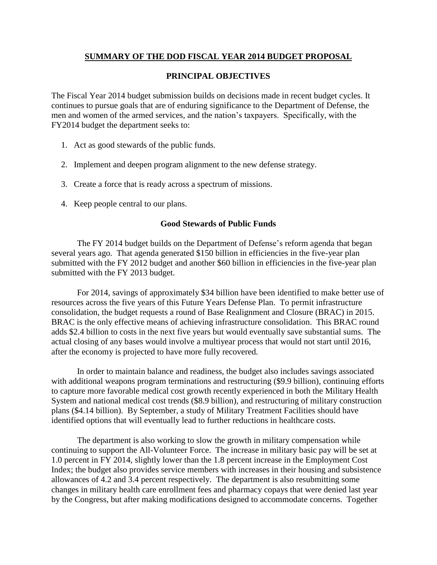### **SUMMARY OF THE DOD FISCAL YEAR 2014 BUDGET PROPOSAL**

#### **PRINCIPAL OBJECTIVES**

The Fiscal Year 2014 budget submission builds on decisions made in recent budget cycles. It continues to pursue goals that are of enduring significance to the Department of Defense, the men and women of the armed services, and the nation's taxpayers. Specifically, with the FY2014 budget the department seeks to:

- 1. Act as good stewards of the public funds.
- 2. Implement and deepen program alignment to the new defense strategy.
- 3. Create a force that is ready across a spectrum of missions.
- 4. Keep people central to our plans.

#### **Good Stewards of Public Funds**

The FY 2014 budget builds on the Department of Defense's reform agenda that began several years ago. That agenda generated \$150 billion in efficiencies in the five-year plan submitted with the FY 2012 budget and another \$60 billion in efficiencies in the five-year plan submitted with the FY 2013 budget.

For 2014, savings of approximately \$34 billion have been identified to make better use of resources across the five years of this Future Years Defense Plan. To permit infrastructure consolidation, the budget requests a round of Base Realignment and Closure (BRAC) in 2015. BRAC is the only effective means of achieving infrastructure consolidation. This BRAC round adds \$2.4 billion to costs in the next five years but would eventually save substantial sums. The actual closing of any bases would involve a multiyear process that would not start until 2016, after the economy is projected to have more fully recovered.

In order to maintain balance and readiness, the budget also includes savings associated with additional weapons program terminations and restructuring (\$9.9 billion), continuing efforts to capture more favorable medical cost growth recently experienced in both the Military Health System and national medical cost trends (\$8.9 billion), and restructuring of military construction plans (\$4.14 billion). By September, a study of Military Treatment Facilities should have identified options that will eventually lead to further reductions in healthcare costs.

The department is also working to slow the growth in military compensation while continuing to support the All-Volunteer Force. The increase in military basic pay will be set at 1.0 percent in FY 2014, slightly lower than the 1.8 percent increase in the Employment Cost Index; the budget also provides service members with increases in their housing and subsistence allowances of 4.2 and 3.4 percent respectively. The department is also resubmitting some changes in military health care enrollment fees and pharmacy copays that were denied last year by the Congress, but after making modifications designed to accommodate concerns. Together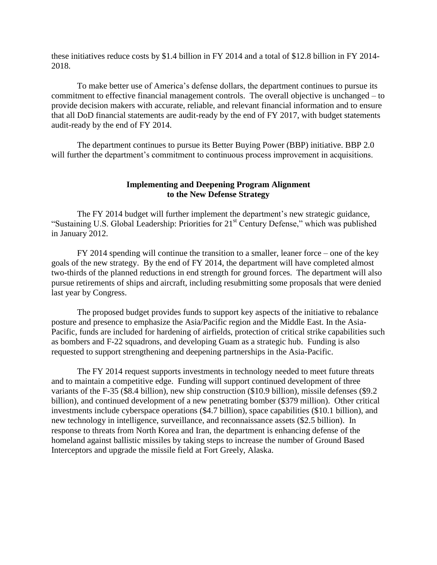these initiatives reduce costs by \$1.4 billion in FY 2014 and a total of \$12.8 billion in FY 2014- 2018.

To make better use of America's defense dollars, the department continues to pursue its commitment to effective financial management controls. The overall objective is unchanged – to provide decision makers with accurate, reliable, and relevant financial information and to ensure that all DoD financial statements are audit-ready by the end of FY 2017, with budget statements audit-ready by the end of FY 2014.

The department continues to pursue its Better Buying Power (BBP) initiative. BBP 2.0 will further the department's commitment to continuous process improvement in acquisitions.

#### **Implementing and Deepening Program Alignment to the New Defense Strategy**

The FY 2014 budget will further implement the department's new strategic guidance, "Sustaining U.S. Global Leadership: Priorities for 21<sup>st</sup> Century Defense," which was published in January 2012.

FY 2014 spending will continue the transition to a smaller, leaner force – one of the key goals of the new strategy. By the end of FY 2014, the department will have completed almost two-thirds of the planned reductions in end strength for ground forces. The department will also pursue retirements of ships and aircraft, including resubmitting some proposals that were denied last year by Congress.

The proposed budget provides funds to support key aspects of the initiative to rebalance posture and presence to emphasize the Asia/Pacific region and the Middle East. In the Asia-Pacific, funds are included for hardening of airfields, protection of critical strike capabilities such as bombers and F-22 squadrons, and developing Guam as a strategic hub. Funding is also requested to support strengthening and deepening partnerships in the Asia-Pacific.

The FY 2014 request supports investments in technology needed to meet future threats and to maintain a competitive edge. Funding will support continued development of three variants of the F-35 (\$8.4 billion), new ship construction (\$10.9 billion), missile defenses (\$9.2 billion), and continued development of a new penetrating bomber (\$379 million). Other critical investments include cyberspace operations (\$4.7 billion), space capabilities (\$10.1 billion), and new technology in intelligence, surveillance, and reconnaissance assets (\$2.5 billion). In response to threats from North Korea and Iran, the department is enhancing defense of the homeland against ballistic missiles by taking steps to increase the number of Ground Based Interceptors and upgrade the missile field at Fort Greely, Alaska.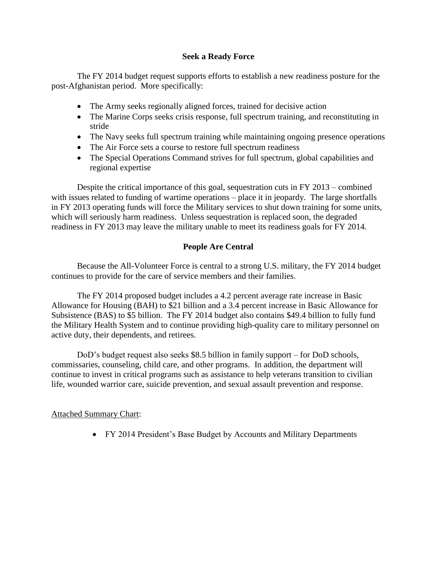#### **Seek a Ready Force**

The FY 2014 budget request supports efforts to establish a new readiness posture for the post-Afghanistan period. More specifically:

- The Army seeks regionally aligned forces, trained for decisive action
- The Marine Corps seeks crisis response, full spectrum training, and reconstituting in stride
- The Navy seeks full spectrum training while maintaining ongoing presence operations
- The Air Force sets a course to restore full spectrum readiness
- The Special Operations Command strives for full spectrum, global capabilities and regional expertise

Despite the critical importance of this goal, sequestration cuts in FY 2013 – combined with issues related to funding of wartime operations – place it in jeopardy. The large shortfalls in FY 2013 operating funds will force the Military services to shut down training for some units, which will seriously harm readiness. Unless sequestration is replaced soon, the degraded readiness in FY 2013 may leave the military unable to meet its readiness goals for FY 2014.

## **People Are Central**

Because the All-Volunteer Force is central to a strong U.S. military, the FY 2014 budget continues to provide for the care of service members and their families.

The FY 2014 proposed budget includes a 4.2 percent average rate increase in Basic Allowance for Housing (BAH) to \$21 billion and a 3.4 percent increase in Basic Allowance for Subsistence (BAS) to \$5 billion. The FY 2014 budget also contains \$49.4 billion to fully fund the Military Health System and to continue providing high-quality care to military personnel on active duty, their dependents, and retirees.

DoD's budget request also seeks \$8.5 billion in family support – for DoD schools, commissaries, counseling, child care, and other programs. In addition, the department will continue to invest in critical programs such as assistance to help veterans transition to civilian life, wounded warrior care, suicide prevention, and sexual assault prevention and response.

#### Attached Summary Chart:

• FY 2014 President's Base Budget by Accounts and Military Departments